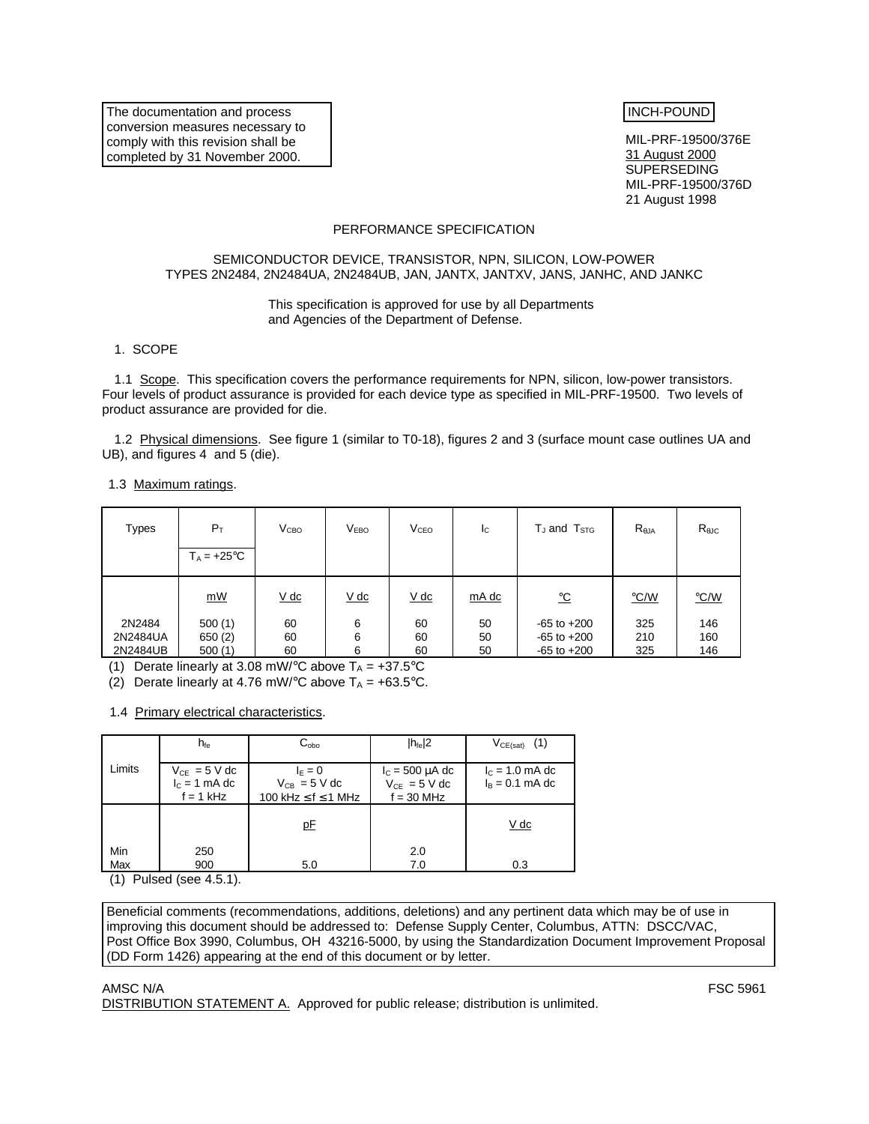The documentation and process conversion measures necessary to comply with this revision shall be completed by 31 November 2000.

# INCH-POUND

MIL-PRF-19500/376E 31 August 2000 SUPERSEDING MIL-PRF-19500/376D 21 August 1998

### PERFORMANCE SPECIFICATION

### SEMICONDUCTOR DEVICE, TRANSISTOR, NPN, SILICON, LOW-POWER TYPES 2N2484, 2N2484UA, 2N2484UB, JAN, JANTX, JANTXV, JANS, JANHC, AND JANKC

#### This specification is approved for use by all Departments and Agencies of the Department of Defense.

#### 1. SCOPE

1.1 Scope. This specification covers the performance requirements for NPN, silicon, low-power transistors. Four levels of product assurance is provided for each device type as specified in MIL-PRF-19500. Two levels of product assurance are provided for die.

1.2 Physical dimensions. See figure 1 (similar to T0-18), figures 2 and 3 (surface mount case outlines UA and UB), and figures 4 and 5 (die).

1.3 Maximum ratings.

| <b>Types</b>                   | $P_T$<br>$T_A = +25^{\circ}C$ | V <sub>CBO</sub> | V <sub>EBO</sub> | V <sub>CEO</sub> | Ic             | $T_J$ and $T_{STG}$                                   | $R_{\theta$ JA    | $R_{\theta$ JC    |
|--------------------------------|-------------------------------|------------------|------------------|------------------|----------------|-------------------------------------------------------|-------------------|-------------------|
|                                | mW                            | $V$ dc           | $V$ dc           | $V$ dc           | mA dc          | <u>ୁC</u>                                             | $\degree$ C/W     | $\degree$ C/W     |
| 2N2484<br>2N2484UA<br>2N2484UB | 500(1)<br>650(2)<br>500(1)    | 60<br>60<br>60   | 6<br>6<br>6      | 60<br>60<br>60   | 50<br>50<br>50 | $-65$ to $+200$<br>$-65$ to $+200$<br>$-65$ to $+200$ | 325<br>210<br>325 | 146<br>160<br>146 |

(1) Derate linearly at 3.08 mW/ $\degree$ C above T<sub>A</sub> = +37.5 $\degree$ C

(2) Derate linearly at 4.76 mW/ $\degree$ C above T<sub>A</sub> = +63.5 $\degree$ C.

1.4 Primary electrical characteristics.

|            | $h_{\text{fe}}$                                     | $C_{\rm obo}$                                                   | $ h_{\text{fe}} 2$                                        | $V_{CE(sat)}$ (1)                      |
|------------|-----------------------------------------------------|-----------------------------------------------------------------|-----------------------------------------------------------|----------------------------------------|
| Limits     | $V_{CE} = 5 V dc$<br>$I_c = 1$ mA dc<br>$f = 1$ kHz | $I_F = 0$<br>$V_{CB}$ = 5 V dc<br>100 kHz $\leq$ f $\leq$ 1 MHz | $I_c = 500 \mu A$ dc<br>$V_{CF}$ = 5 V dc<br>$f = 30$ MHz | $I_c = 1.0$ mA dc<br>$I_B = 0.1$ mA dc |
|            |                                                     | pE                                                              |                                                           | <u>V dc</u>                            |
| Min<br>Max | 250<br>900                                          | 5.0                                                             | 2.0<br>7.0                                                | 0.3                                    |

(1) Pulsed (see 4.5.1).

Beneficial comments (recommendations, additions, deletions) and any pertinent data which may be of use in improving this document should be addressed to: Defense Supply Center, Columbus, ATTN: DSCC/VAC, Post Office Box 3990, Columbus, OH 43216-5000, by using the Standardization Document Improvement Proposal (DD Form 1426) appearing at the end of this document or by letter.

AMSC N/A FSC 5961

DISTRIBUTION STATEMENT A. Approved for public release; distribution is unlimited.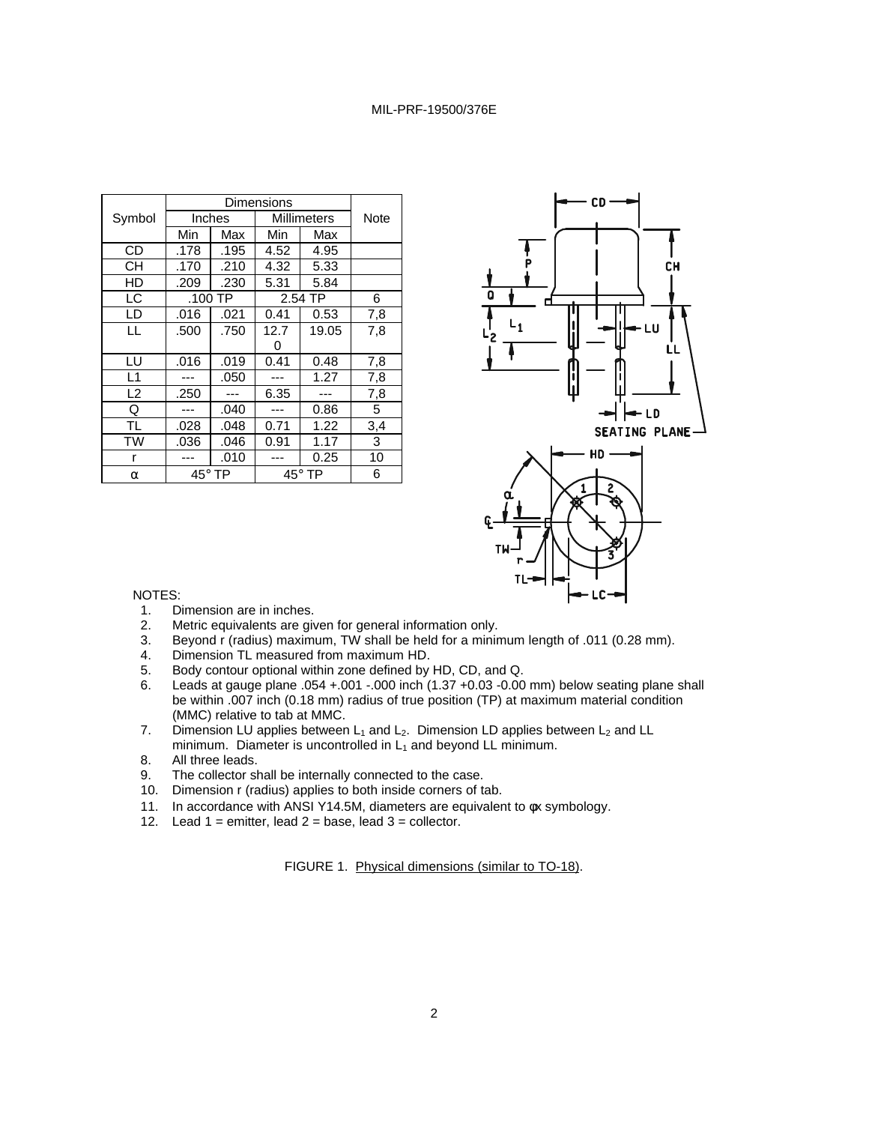| Symbol         |               | Inches |      | Millimeters   | Note |
|----------------|---------------|--------|------|---------------|------|
|                | Min           | Max    | Min  | Max           |      |
| <b>CD</b>      | .178          | .195   | 4.52 | 4.95          |      |
| <b>CH</b>      | .170          | .210   | 4.32 | 5.33          |      |
| HD             | .209          | .230   | 5.31 | 5.84          |      |
| LC             | .100 TP       |        |      | 2.54 TP       |      |
| LD             | .016          | .021   | 0.41 | 0.53          | 7,8  |
| LL             | .500          | .750   | 12.7 | 19.05         | 7,8  |
|                |               |        | 0    |               |      |
| LU             | .016          | .019   | 0.41 | 0.48          | 7,8  |
| L1             |               | .050   |      | 1.27          | 7,8  |
| L <sub>2</sub> | .250          |        | 6.35 |               | 7,8  |
| Q              |               | .040   |      | 0.86          | 5    |
| TL             | .028          | .048   | 0.71 | 1.22          | 3,4  |
| <b>TW</b>      | .036          | .046   | 0.91 | 1.17          | 3    |
| r              |               | .010   |      | 0.25          | 10   |
| α              | $45^\circ$ TP |        |      | $45^\circ$ TP | 6    |





#### NOTES:

- 1. Dimension are in inches.<br>2. Metric equivalents are give
- 2. Metric equivalents are given for general information only.<br>3. Beyond r (radius) maximum, TW shall be held for a minin
- Beyond r (radius) maximum, TW shall be held for a minimum length of .011 (0.28 mm).
- 4. Dimension TL measured from maximum HD.
- 5. Body contour optional within zone defined by HD, CD, and Q.
- 6. Leads at gauge plane  $.054 + .001 .000$  inch  $(1.37 + 0.03 0.00$  mm) below seating plane shall be within .007 inch (0.18 mm) radius of true position (TP) at maximum material condition (MMC) relative to tab at MMC.
- 7. Dimension LU applies between  $L_1$  and  $L_2$ . Dimension LD applies between  $L_2$  and LL minimum. Diameter is uncontrolled in  $L_1$  and beyond LL minimum.
- 8. All three leads.
- 9. The collector shall be internally connected to the case.
- 10. Dimension r (radius) applies to both inside corners of tab.
- 11. In accordance with ANSI Y14.5M, diameters are equivalent to φx symbology.
- 12. Lead  $1 =$  emitter, lead  $2 =$  base, lead  $3 =$  collector.

FIGURE 1. Physical dimensions (similar to TO-18).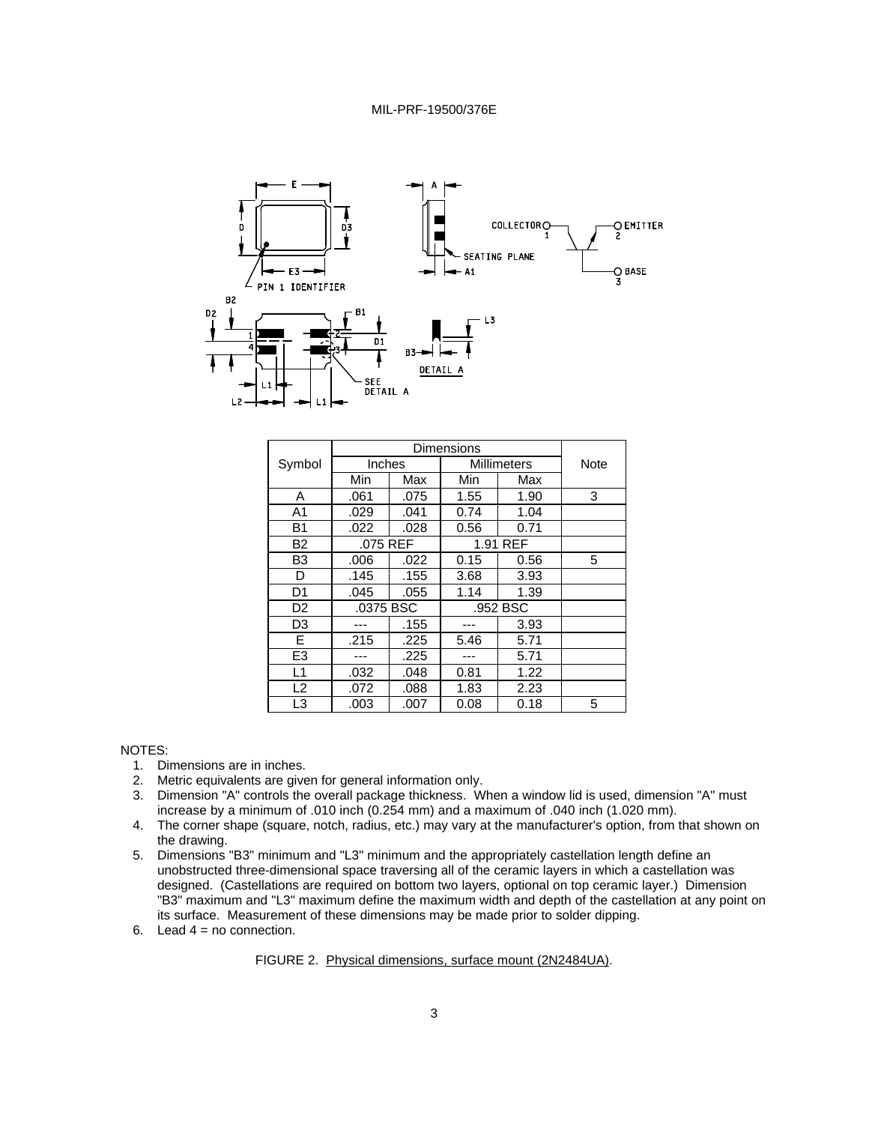

| Symbol         | Inches    |      |          | Millimeters |   |  |
|----------------|-----------|------|----------|-------------|---|--|
|                | Min       | Max  | Min      | Max         |   |  |
| A              | .061      | .075 | 1.55     | 1.90        | 3 |  |
| A <sub>1</sub> | .029      | .041 | 0.74     | 1.04        |   |  |
| <b>B1</b>      | .022      | .028 | 0.56     | 0.71        |   |  |
| B <sub>2</sub> | .075 REF  |      |          | 1.91 REF    |   |  |
| B <sub>3</sub> | .006      | .022 | 0.15     | 0.56        | 5 |  |
| D              | .145      | .155 | 3.68     | 3.93        |   |  |
| D <sub>1</sub> | .045      | .055 | 1.14     | 1.39        |   |  |
| D <sub>2</sub> | .0375 BSC |      | .952 BSC |             |   |  |
| D <sub>3</sub> |           | .155 |          | 3.93        |   |  |
| Е              | .215      | .225 | 5.46     | 5.71        |   |  |
| E <sub>3</sub> |           | .225 |          | 5.71        |   |  |
| L1             | .032      | .048 | 0.81     | 1.22        |   |  |
| L2             | .072      | .088 | 1.83     | 2.23        |   |  |
| L <sub>3</sub> | .003      | .007 | 0.08     | 0.18        | 5 |  |

#### NOTES:

- 1. Dimensions are in inches.
- 2. Metric equivalents are given for general information only.
- 3. Dimension "A" controls the overall package thickness. When a window lid is used, dimension "A" must increase by a minimum of .010 inch (0.254 mm) and a maximum of .040 inch (1.020 mm).
- 4. The corner shape (square, notch, radius, etc.) may vary at the manufacturer's option, from that shown on the drawing.
- 5. Dimensions "B3" minimum and "L3" minimum and the appropriately castellation length define an unobstructed three-dimensional space traversing all of the ceramic layers in which a castellation was designed. (Castellations are required on bottom two layers, optional on top ceramic layer.) Dimension "B3" maximum and "L3" maximum define the maximum width and depth of the castellation at any point on its surface. Measurement of these dimensions may be made prior to solder dipping.
- 6. Lead  $4 = no$  connection.

#### FIGURE 2. Physical dimensions, surface mount (2N2484UA).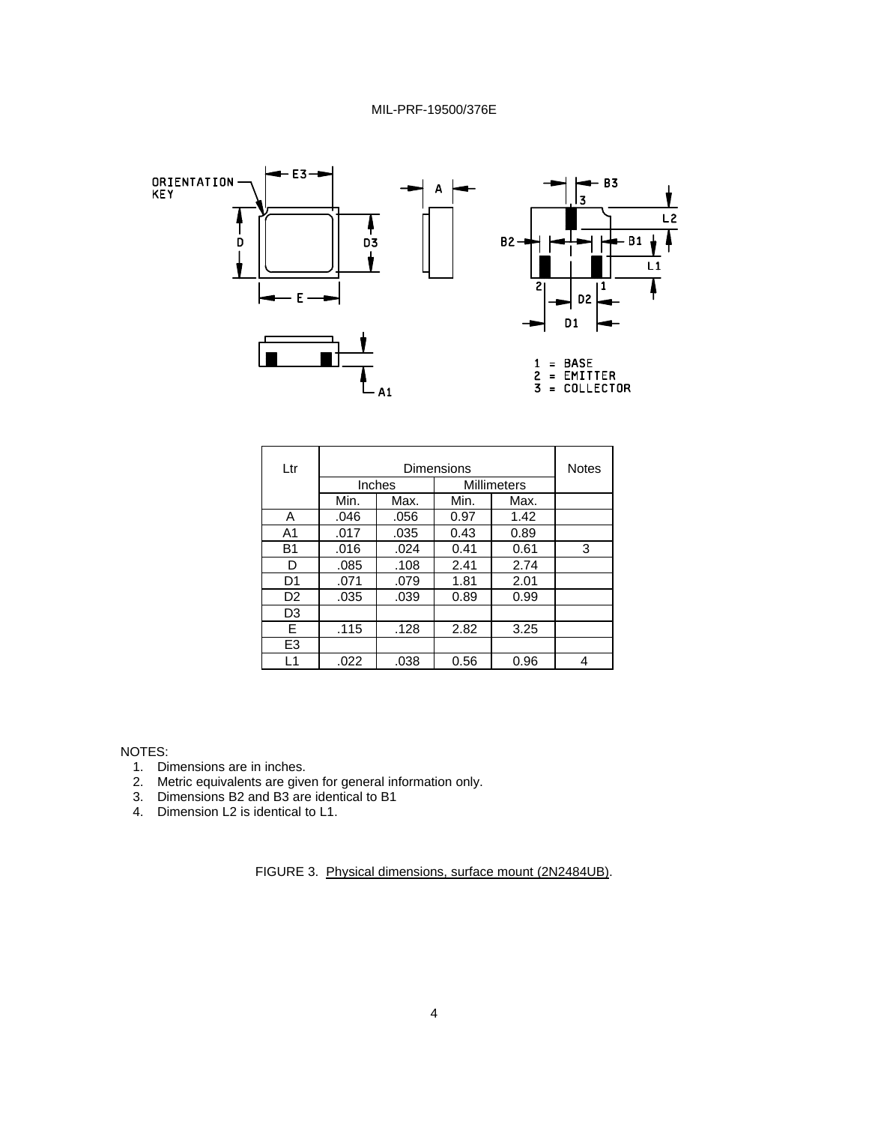

| Ltr            |        | <b>Notes</b> |                                  |      |   |
|----------------|--------|--------------|----------------------------------|------|---|
|                | Inches |              | Dimensions<br><b>Millimeters</b> |      |   |
|                | Min.   | Max.         | Min.                             | Max. |   |
| A              | .046   | .056         | 0.97                             | 1.42 |   |
| A <sub>1</sub> | .017   | .035         | 0.43                             | 0.89 |   |
| <b>B1</b>      | .016   | .024         | 0.41                             | 0.61 | 3 |
| D              | .085   | .108         | 2.41                             | 2.74 |   |
| D1             | .071   | .079         | 1.81                             | 2.01 |   |
| D <sub>2</sub> | .035   | .039         | 0.89                             | 0.99 |   |
| D3             |        |              |                                  |      |   |
| E              | .115   | .128         | 2.82                             | 3.25 |   |
| E <sub>3</sub> |        |              |                                  |      |   |
| L1             | .022   | .038         | 0.56                             | 0.96 | 4 |

NOTES:

- 1. Dimensions are in inches.
- 2. Metric equivalents are given for general information only.
- 3. Dimensions B2 and B3 are identical to B1
- 4. Dimension L2 is identical to L1.

FIGURE 3. Physical dimensions, surface mount (2N2484UB).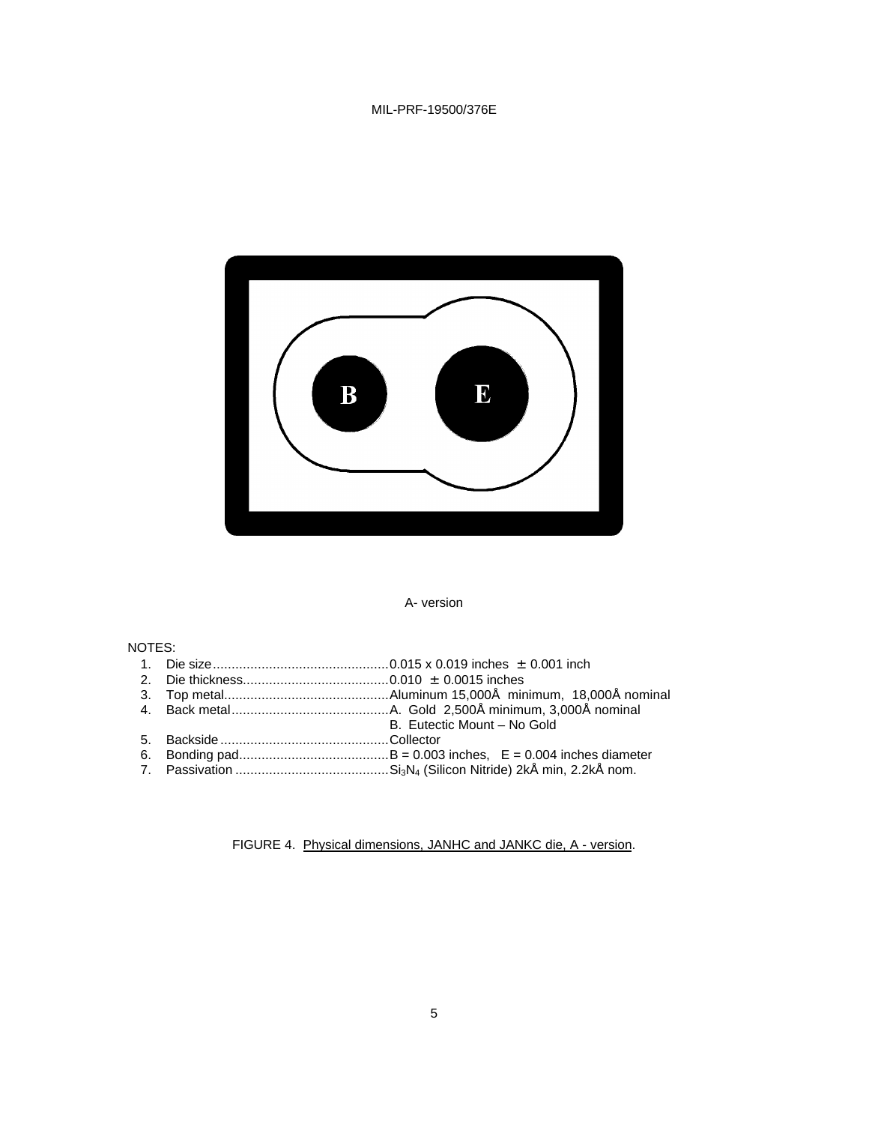

#### A- version

### NOTES:

- 1. Die size...............................................0.015 x 0.019 inches ± 0.001 inch
- 2. Die thickness.......................................0.010 ± 0.0015 inches
- 3. Top metal............................................Aluminum 15,000Å minimum, 18,000Å nominal
- 4. Back metal..........................................A. Gold 2,500Å minimum, 3,000Å nominal
- B. Eutectic Mount No Gold
- 5. Backside .............................................Collector
- 6. Bonding pad........................................B = 0.003 inches, E = 0.004 inches diameter
- 7. Passivation .........................................Si3N4 (Silicon Nitride) 2kÅ min, 2.2kÅ nom.

FIGURE 4. Physical dimensions, JANHC and JANKC die, A - version.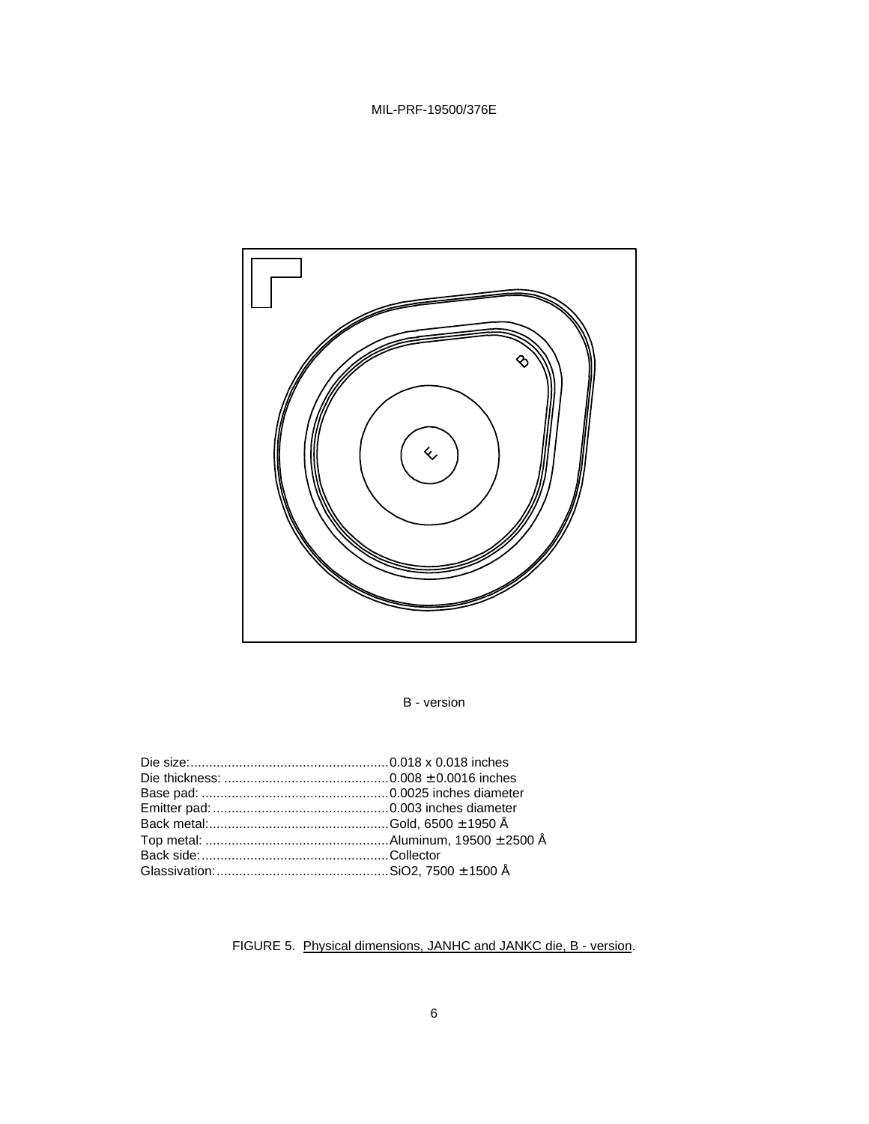

# B - version

# FIGURE 5. Physical dimensions, JANHC and JANKC die, B - version.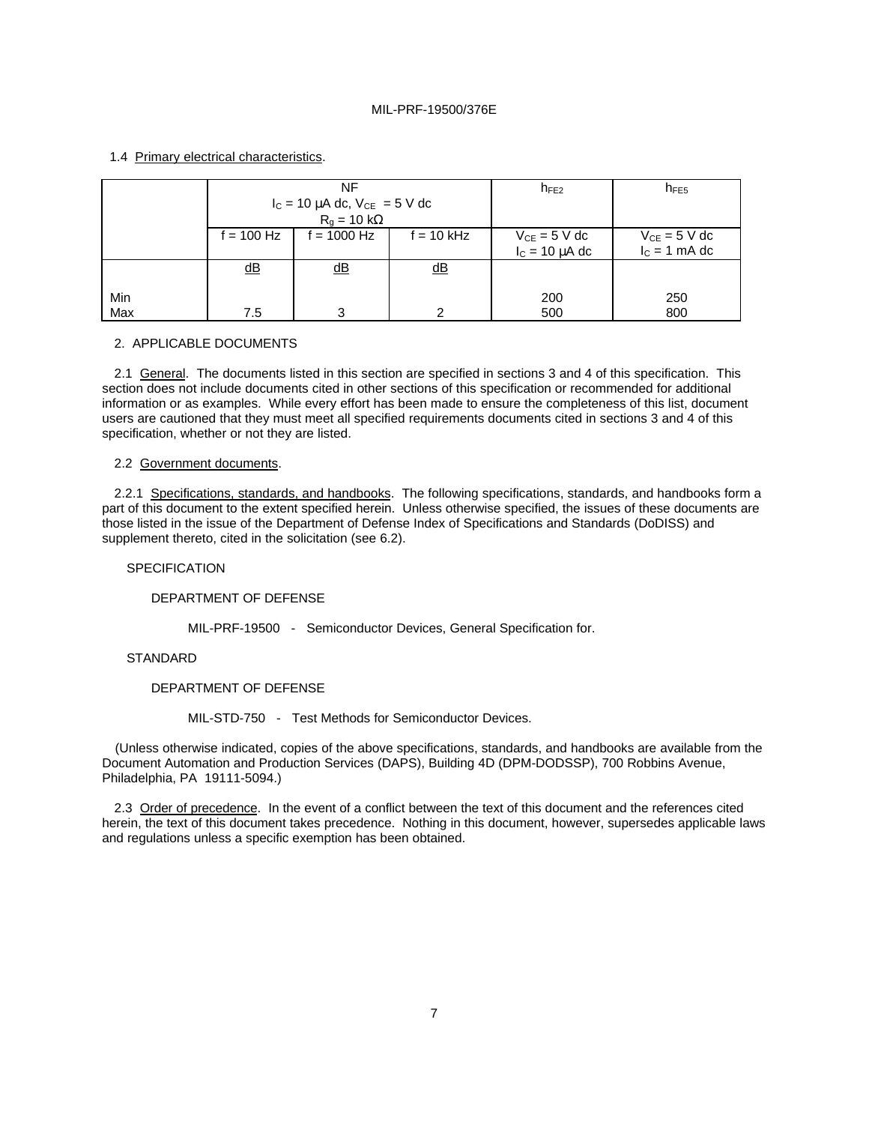## 1.4 Primary electrical characteristics.

|            | NF                        |                                        |                           | $n_{FE2}$           | $n_{FE5}$         |
|------------|---------------------------|----------------------------------------|---------------------------|---------------------|-------------------|
|            |                           | $I_C = 10 \mu A$ dc, $V_{CE} = 5 V$ dc |                           |                     |                   |
|            |                           | $R_a = 10 k\Omega$                     |                           |                     |                   |
|            | $f = 100$ Hz              | $f = 1000$ Hz                          | $f = 10$ kHz              | $V_{CE} = 5 V dc$   | $V_{CE} = 5 V dc$ |
|            |                           |                                        |                           | $I_c = 10 \mu A$ dc | $I_c = 1$ mA dc   |
|            | $\underline{\mathsf{dB}}$ | $\underline{\mathsf{dB}}$              | $\underline{\mathsf{dB}}$ |                     |                   |
| Min<br>Max | 7.5                       | 3                                      | ∩                         | 200<br>500          | 250<br>800        |

#### 2. APPLICABLE DOCUMENTS

2.1 General. The documents listed in this section are specified in sections 3 and 4 of this specification. This section does not include documents cited in other sections of this specification or recommended for additional information or as examples. While every effort has been made to ensure the completeness of this list, document users are cautioned that they must meet all specified requirements documents cited in sections 3 and 4 of this specification, whether or not they are listed.

#### 2.2 Government documents.

2.2.1 Specifications, standards, and handbooks. The following specifications, standards, and handbooks form a part of this document to the extent specified herein. Unless otherwise specified, the issues of these documents are those listed in the issue of the Department of Defense Index of Specifications and Standards (DoDISS) and supplement thereto, cited in the solicitation (see 6.2).

#### SPECIFICATION

DEPARTMENT OF DEFENSE

MIL-PRF-19500 - Semiconductor Devices, General Specification for.

### **STANDARD**

DEPARTMENT OF DEFENSE

MIL-STD-750 - Test Methods for Semiconductor Devices.

(Unless otherwise indicated, copies of the above specifications, standards, and handbooks are available from the Document Automation and Production Services (DAPS), Building 4D (DPM-DODSSP), 700 Robbins Avenue, Philadelphia, PA 19111-5094.)

2.3 Order of precedence. In the event of a conflict between the text of this document and the references cited herein, the text of this document takes precedence. Nothing in this document, however, supersedes applicable laws and regulations unless a specific exemption has been obtained.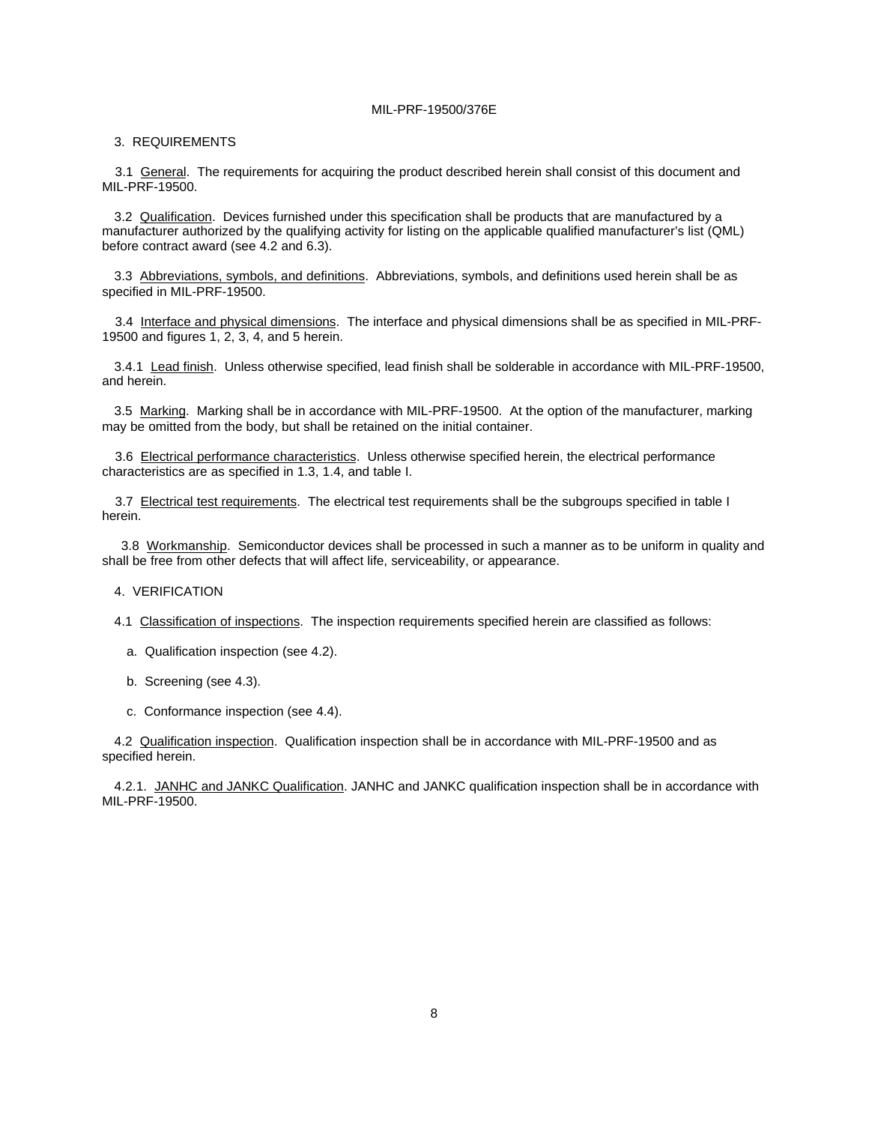#### 3. REQUIREMENTS

3.1 General. The requirements for acquiring the product described herein shall consist of this document and MIL-PRF-19500.

3.2 Qualification. Devices furnished under this specification shall be products that are manufactured by a manufacturer authorized by the qualifying activity for listing on the applicable qualified manufacturer's list (QML) before contract award (see 4.2 and 6.3).

3.3 Abbreviations, symbols, and definitions. Abbreviations, symbols, and definitions used herein shall be as specified in MIL-PRF-19500.

3.4 Interface and physical dimensions. The interface and physical dimensions shall be as specified in MIL-PRF-19500 and figures 1, 2, 3, 4, and 5 herein.

3.4.1 Lead finish. Unless otherwise specified, lead finish shall be solderable in accordance with MIL-PRF-19500, and herein.

3.5 Marking. Marking shall be in accordance with MIL-PRF-19500. At the option of the manufacturer, marking may be omitted from the body, but shall be retained on the initial container.

3.6 Electrical performance characteristics. Unless otherwise specified herein, the electrical performance characteristics are as specified in 1.3, 1.4, and table I.

3.7 Electrical test requirements. The electrical test requirements shall be the subgroups specified in table I herein.

3.8 Workmanship. Semiconductor devices shall be processed in such a manner as to be uniform in quality and shall be free from other defects that will affect life, serviceability, or appearance.

4. VERIFICATION

- 4.1 Classification of inspections. The inspection requirements specified herein are classified as follows:
	- a. Qualification inspection (see 4.2).
	- b. Screening (see 4.3).
	- c. Conformance inspection (see 4.4).

4.2 Qualification inspection. Qualification inspection shall be in accordance with MIL-PRF-19500 and as specified herein.

4.2.1. JANHC and JANKC Qualification. JANHC and JANKC qualification inspection shall be in accordance with MIL-PRF-19500.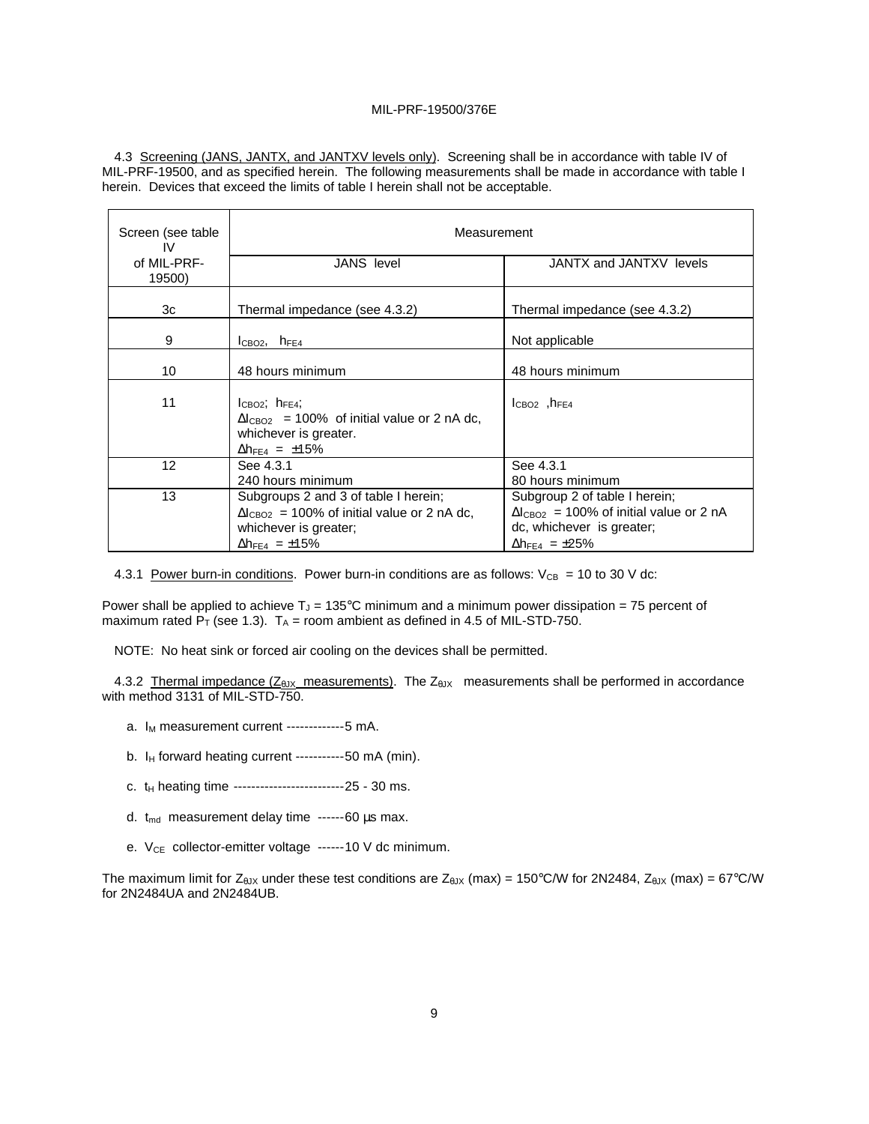4.3 Screening (JANS, JANTX, and JANTXV levels only). Screening shall be in accordance with table IV of MIL-PRF-19500, and as specified herein. The following measurements shall be made in accordance with table I herein. Devices that exceed the limits of table I herein shall not be acceptable.

| Screen (see table<br>IV | Measurement                                                                                                                                                  |                                                                                                                                                       |  |  |  |
|-------------------------|--------------------------------------------------------------------------------------------------------------------------------------------------------------|-------------------------------------------------------------------------------------------------------------------------------------------------------|--|--|--|
| of MIL-PRF-<br>19500)   | <b>JANS</b> level                                                                                                                                            | JANTX and JANTXV levels                                                                                                                               |  |  |  |
| 3c                      | Thermal impedance (see 4.3.2)                                                                                                                                | Thermal impedance (see 4.3.2)                                                                                                                         |  |  |  |
| 9                       | $I_{CBO2}$ , $h_{FE4}$                                                                                                                                       | Not applicable                                                                                                                                        |  |  |  |
| 10                      | 48 hours minimum                                                                                                                                             | 48 hours minimum                                                                                                                                      |  |  |  |
| 11                      | $l_{CBO2}$ ; $h_{FE4}$ ;<br>$\Delta l_{\text{CBO2}}$ = 100% of initial value or 2 nA dc.<br>whichever is greater.<br>$\Delta h_{FE4} = \pm 15\%$             | $ICBO2$ , $hFE4$                                                                                                                                      |  |  |  |
| 12                      | See 4.3.1<br>240 hours minimum                                                                                                                               | See 4.3.1<br>80 hours minimum                                                                                                                         |  |  |  |
| 13                      | Subgroups 2 and 3 of table I herein;<br>$\Delta l_{\text{CBO2}}$ = 100% of initial value or 2 nA dc.<br>whichever is greater;<br>$\Delta h_{FE4} = \pm 15\%$ | Subgroup 2 of table I herein;<br>$\Delta l_{\text{CBO2}}$ = 100% of initial value or 2 nA<br>dc, whichever is greater;<br>$\Delta h_{FE4} = \pm 25\%$ |  |  |  |

4.3.1 Power burn-in conditions. Power burn-in conditions are as follows:  $V_{CB} = 10$  to 30 V dc:

Power shall be applied to achieve  $T_J = 135^{\circ}$ C minimum and a minimum power dissipation = 75 percent of maximum rated  $P_T$  (see 1.3).  $T_A$  = room ambient as defined in 4.5 of MIL-STD-750.

NOTE: No heat sink or forced air cooling on the devices shall be permitted.

4.3.2 Thermal impedance  $(Z_{\text{d}1X}$  measurements). The  $Z_{\text{d}1X}$  measurements shall be performed in accordance with method 3131 of MIL-STD-750.

- $a. I_M$  measurement current -------------5 mA.
- b.  $I_H$  forward heating current -----------50 mA (min).
- c.  $t_H$  heating time ---------------------------------25 30 ms.
- d. t<sub>md</sub> measurement delay time ------60 μs max.
- e. V<sub>CE</sub> collector-emitter voltage ------10 V dc minimum.

The maximum limit for  $Z_{\theta JX}$  under these test conditions are  $Z_{\theta JX}$  (max) = 150°C/W for 2N2484,  $Z_{\theta JX}$  (max) = 67°C/W for 2N2484UA and 2N2484UB.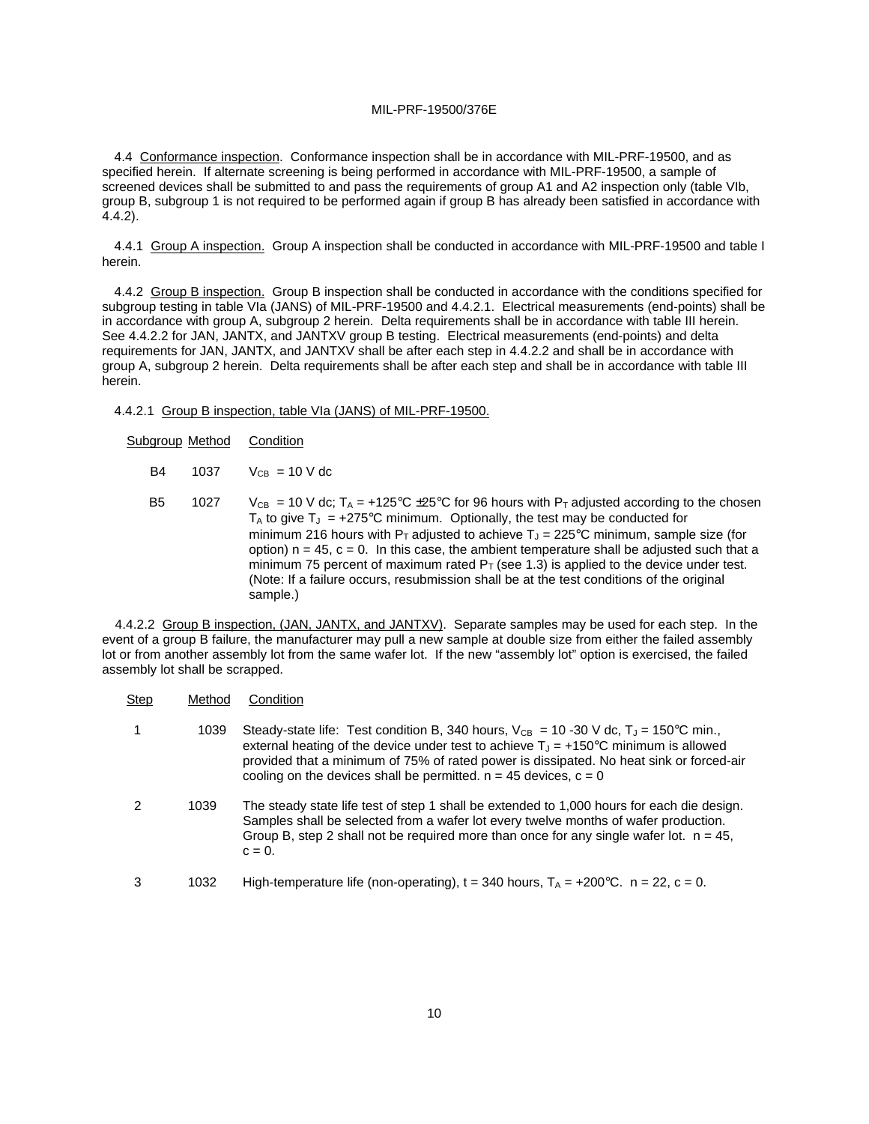4.4 Conformance inspection. Conformance inspection shall be in accordance with MIL-PRF-19500, and as specified herein. If alternate screening is being performed in accordance with MIL-PRF-19500, a sample of screened devices shall be submitted to and pass the requirements of group A1 and A2 inspection only (table VIb, group B, subgroup 1 is not required to be performed again if group B has already been satisfied in accordance with 4.4.2).

4.4.1 Group A inspection. Group A inspection shall be conducted in accordance with MIL-PRF-19500 and table I herein.

4.4.2 Group B inspection. Group B inspection shall be conducted in accordance with the conditions specified for subgroup testing in table VIa (JANS) of MIL-PRF-19500 and 4.4.2.1. Electrical measurements (end-points) shall be in accordance with group A, subgroup 2 herein. Delta requirements shall be in accordance with table III herein. See 4.4.2.2 for JAN, JANTX, and JANTXV group B testing. Electrical measurements (end-points) and delta requirements for JAN, JANTX, and JANTXV shall be after each step in 4.4.2.2 and shall be in accordance with group A, subgroup 2 herein. Delta requirements shall be after each step and shall be in accordance with table III herein.

4.4.2.1 Group B inspection, table VIa (JANS) of MIL-PRF-19500.

| Condition<br>Subgroup Method |
|------------------------------|
|------------------------------|

- $B4$  1037  $V_{CB}$  = 10 V dc
- B5 1027  $V_{CB} = 10$  V dc; T<sub>A</sub> = +125°C ±25°C for 96 hours with P<sub>T</sub> adjusted according to the chosen  $T_A$  to give  $T_J = +275^{\circ}C$  minimum. Optionally, the test may be conducted for minimum 216 hours with  $P_T$  adjusted to achieve  $T_J = 225^{\circ}$ C minimum, sample size (for option)  $n = 45$ ,  $c = 0$ . In this case, the ambient temperature shall be adjusted such that a minimum 75 percent of maximum rated  $P_T$  (see 1.3) is applied to the device under test. (Note: If a failure occurs, resubmission shall be at the test conditions of the original sample.)

4.4.2.2 Group B inspection, (JAN, JANTX, and JANTXV). Separate samples may be used for each step. In the event of a group B failure, the manufacturer may pull a new sample at double size from either the failed assembly lot or from another assembly lot from the same wafer lot. If the new "assembly lot" option is exercised, the failed assembly lot shall be scrapped.

| <b>Step</b> | Method | Condition                                                                                                                                                                                                                                                                                                                                                                   |
|-------------|--------|-----------------------------------------------------------------------------------------------------------------------------------------------------------------------------------------------------------------------------------------------------------------------------------------------------------------------------------------------------------------------------|
|             | 1039   | Steady-state life: Test condition B, 340 hours, $V_{CB} = 10 - 30$ V dc, $T_J = 150^{\circ}$ C min.,<br>external heating of the device under test to achieve $T_{J} = +150^{\circ}$ C minimum is allowed<br>provided that a minimum of 75% of rated power is dissipated. No heat sink or forced-air<br>cooling on the devices shall be permitted. $n = 45$ devices, $c = 0$ |
| 2           | 1039   | The steady state life test of step 1 shall be extended to 1,000 hours for each die design.<br>Samples shall be selected from a wafer lot every twelve months of wafer production.<br>Group B, step 2 shall not be required more than once for any single wafer lot. $n = 45$ ,<br>$c = 0.$                                                                                  |
| 3           | 1032   | High-temperature life (non-operating), $t = 340$ hours, $T_A = +200^{\circ}C$ . $n = 22$ , $c = 0$ .                                                                                                                                                                                                                                                                        |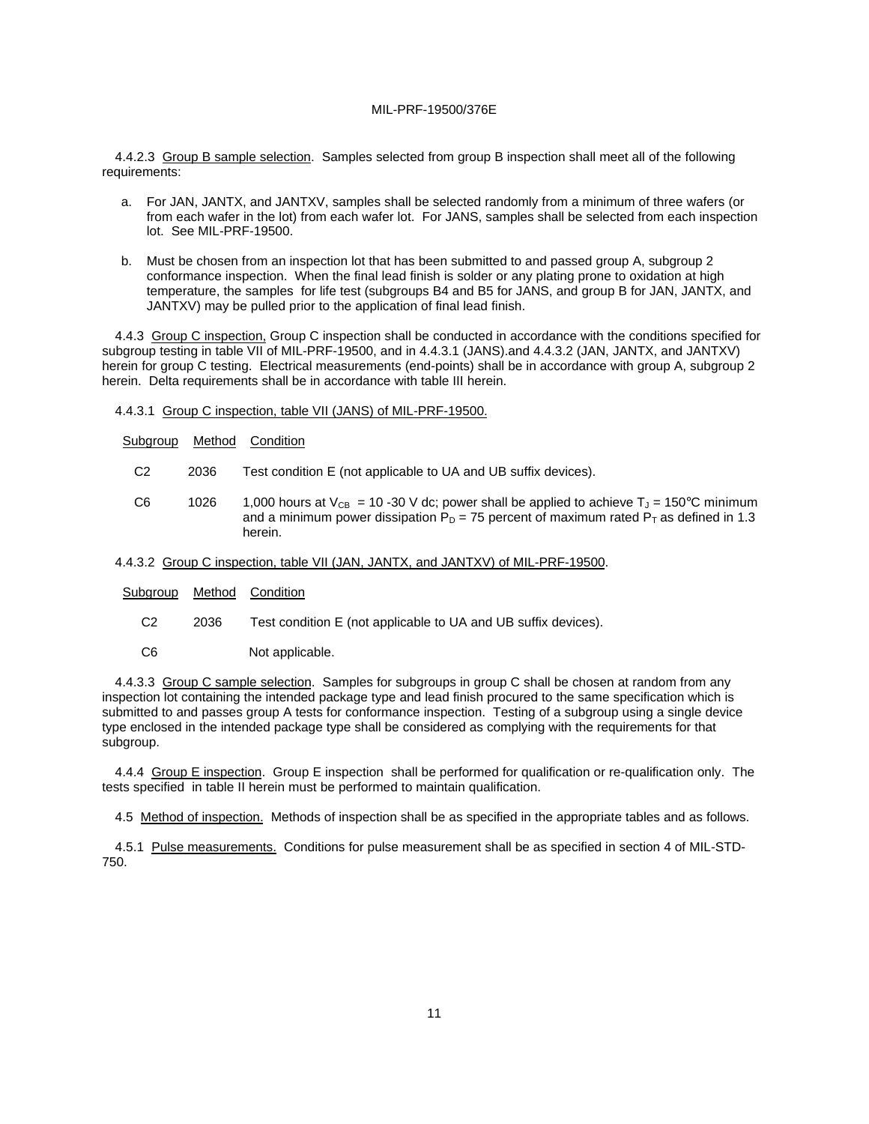4.4.2.3 Group B sample selection. Samples selected from group B inspection shall meet all of the following requirements:

- a. For JAN, JANTX, and JANTXV, samples shall be selected randomly from a minimum of three wafers (or from each wafer in the lot) from each wafer lot. For JANS, samples shall be selected from each inspection lot. See MIL-PRF-19500.
- b. Must be chosen from an inspection lot that has been submitted to and passed group A, subgroup 2 conformance inspection. When the final lead finish is solder or any plating prone to oxidation at high temperature, the samples for life test (subgroups B4 and B5 for JANS, and group B for JAN, JANTX, and JANTXV) may be pulled prior to the application of final lead finish.

4.4.3 Group C inspection, Group C inspection shall be conducted in accordance with the conditions specified for subgroup testing in table VII of MIL-PRF-19500, and in 4.4.3.1 (JANS).and 4.4.3.2 (JAN, JANTX, and JANTXV) herein for group C testing. Electrical measurements (end-points) shall be in accordance with group A, subgroup 2 herein. Delta requirements shall be in accordance with table III herein.

- 4.4.3.1 Group C inspection, table VII (JANS) of MIL-PRF-19500.
- Subgroup Method Condition
	- C2 2036 Test condition E (not applicable to UA and UB suffix devices).
	- C6 1026 1,000 hours at  $V_{CR} = 10 30$  V dc; power shall be applied to achieve  $T_1 = 150^{\circ}$ C minimum and a minimum power dissipation  $P_D = 75$  percent of maximum rated  $P_T$  as defined in 1.3 herein.

#### 4.4.3.2 Group C inspection, table VII (JAN, JANTX, and JANTXV) of MIL-PRF-19500.

| Subgroup | Method | Condition |
|----------|--------|-----------|
|----------|--------|-----------|

- C2 2036 Test condition E (not applicable to UA and UB suffix devices).
- C6 Not applicable.

4.4.3.3 Group C sample selection. Samples for subgroups in group C shall be chosen at random from any inspection lot containing the intended package type and lead finish procured to the same specification which is submitted to and passes group A tests for conformance inspection. Testing of a subgroup using a single device type enclosed in the intended package type shall be considered as complying with the requirements for that subgroup.

4.4.4 Group E inspection. Group E inspection shall be performed for qualification or re-qualification only. The tests specified in table II herein must be performed to maintain qualification.

4.5 Method of inspection. Methods of inspection shall be as specified in the appropriate tables and as follows.

4.5.1 Pulse measurements. Conditions for pulse measurement shall be as specified in section 4 of MIL-STD-750.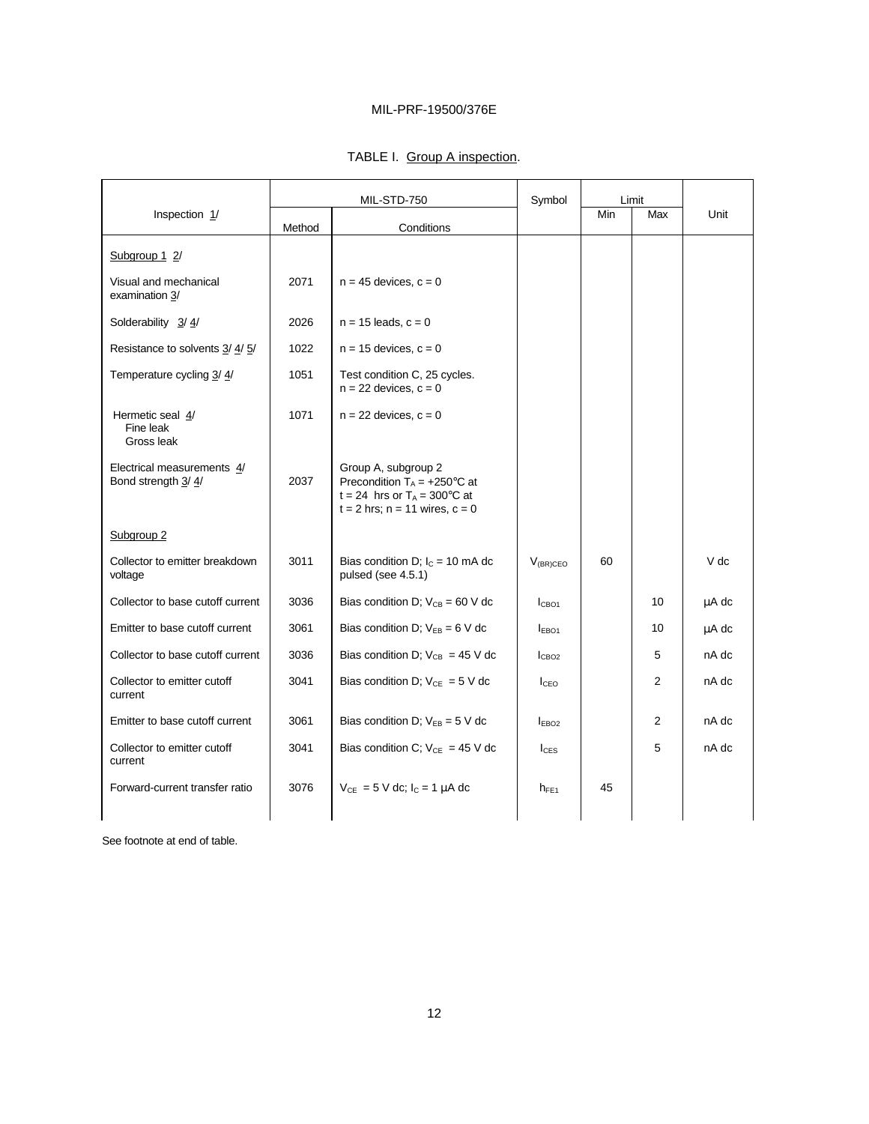|                                                  | MIL-STD-750 |                                                                                                                                              | Symbol            | Limit |                |       |
|--------------------------------------------------|-------------|----------------------------------------------------------------------------------------------------------------------------------------------|-------------------|-------|----------------|-------|
| Inspection 1/                                    | Method      | Conditions                                                                                                                                   |                   | Min   | Max            | Unit  |
| Subgroup 1 2/                                    |             |                                                                                                                                              |                   |       |                |       |
| Visual and mechanical<br>examination 3/          | 2071        | $n = 45$ devices, $c = 0$                                                                                                                    |                   |       |                |       |
| Solderability 3/4/                               | 2026        | $n = 15$ leads, $c = 0$                                                                                                                      |                   |       |                |       |
| Resistance to solvents 3/4/5/                    | 1022        | $n = 15$ devices, $c = 0$                                                                                                                    |                   |       |                |       |
| Temperature cycling 3/4/                         | 1051        | Test condition C, 25 cycles.<br>$n = 22$ devices, $c = 0$                                                                                    |                   |       |                |       |
| Hermetic seal 4/<br>Fine leak<br>Gross leak      | 1071        | $n = 22$ devices, $c = 0$                                                                                                                    |                   |       |                |       |
| Electrical measurements 4/<br>Bond strength 3/4/ | 2037        | Group A, subgroup 2<br>Precondition $T_A = +250^\circ \text{C}$ at<br>t = 24 hrs or $T_A$ = 300°C at<br>$t = 2$ hrs; $n = 11$ wires, $c = 0$ |                   |       |                |       |
| Subgroup <sub>2</sub>                            |             |                                                                                                                                              |                   |       |                |       |
| Collector to emitter breakdown<br>voltage        | 3011        | Bias condition D; $I_C = 10$ mA dc<br>pulsed (see 4.5.1)                                                                                     | $V_{(BR)CEO}$     | 60    |                | V dc  |
| Collector to base cutoff current                 | 3036        | Bias condition D; $V_{CB} = 60$ V dc                                                                                                         | I <sub>CBO1</sub> |       | 10             | μA dc |
| Emitter to base cutoff current                   | 3061        | Bias condition D; $V_{EB} = 6 V$ dc                                                                                                          | EBO <sub>1</sub>  |       | 10             | μA dc |
| Collector to base cutoff current                 | 3036        | Bias condition D; $V_{CB} = 45$ V dc                                                                                                         | I <sub>CBO2</sub> |       | 5              | nA dc |
| Collector to emitter cutoff<br>current           | 3041        | Bias condition D; $V_{CE} = 5 V$ dc                                                                                                          | I <sub>CEO</sub>  |       | $\overline{c}$ | nA dc |
| Emitter to base cutoff current                   | 3061        | Bias condition D; $V_{EB} = 5$ V dc                                                                                                          | EBO <sub>2</sub>  |       | $\overline{2}$ | nA dc |
| Collector to emitter cutoff<br>current           | 3041        | Bias condition C; $V_{CE} = 45$ V dc                                                                                                         | $I_{CES}$         |       | 5              | nA dc |
| Forward-current transfer ratio                   | 3076        | $V_{CE} = 5$ V dc; $I_C = 1$ µA dc                                                                                                           | $h_{FE1}$         | 45    |                |       |

See footnote at end of table.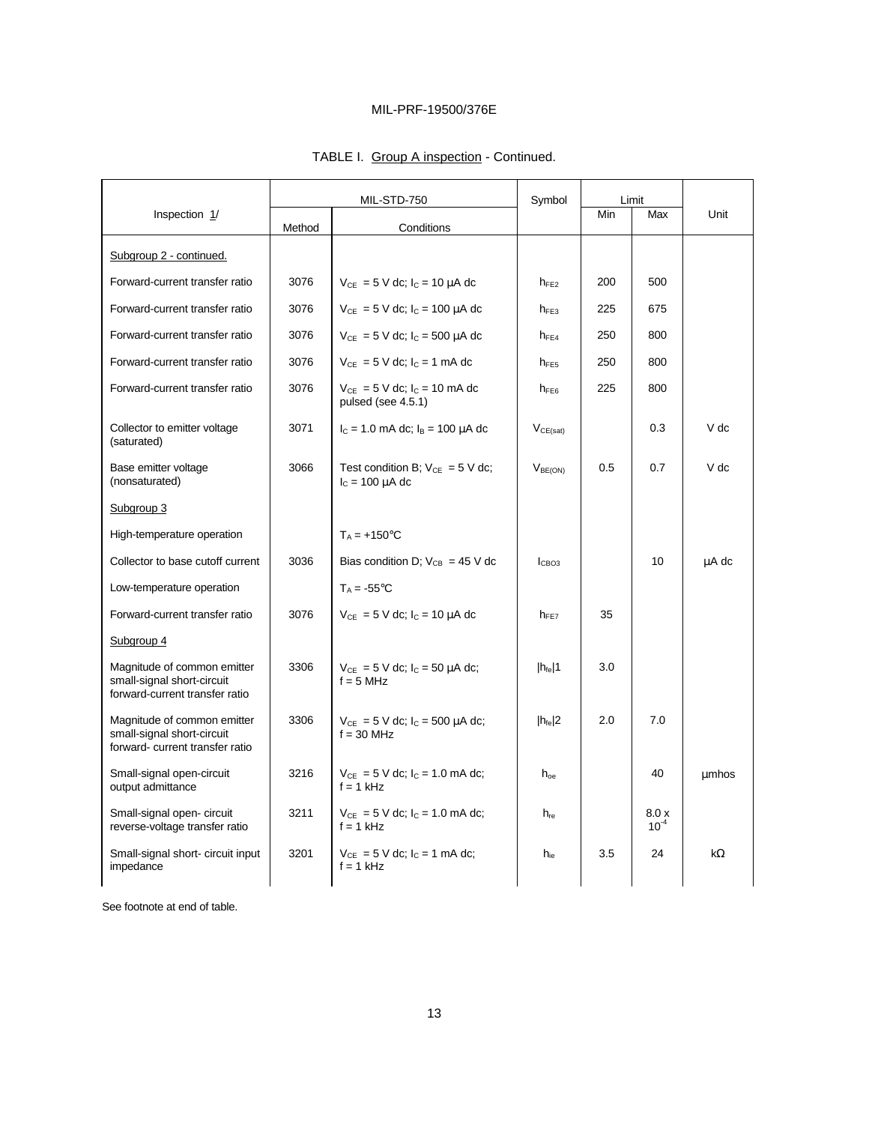|                                                                                              | MIL-STD-750 |                                                                | Symbol              | Limit |                    |       |
|----------------------------------------------------------------------------------------------|-------------|----------------------------------------------------------------|---------------------|-------|--------------------|-------|
| Inspection 1/                                                                                | Method      | Conditions                                                     |                     | Min   | Max                | Unit  |
| Subgroup 2 - continued.                                                                      |             |                                                                |                     |       |                    |       |
| Forward-current transfer ratio                                                               | 3076        | $V_{CE} = 5$ V dc; $I_C = 10 \mu A$ dc                         | $h_{FE2}$           | 200   | 500                |       |
| Forward-current transfer ratio                                                               | 3076        | $V_{CE} = 5$ V dc; $I_C = 100 \mu A$ dc                        | $h_{FE3}$           | 225   | 675                |       |
| Forward-current transfer ratio                                                               | 3076        | $V_{CE} = 5$ V dc; $I_C = 500 \mu A$ dc                        | $h_{FE4}$           | 250   | 800                |       |
| Forward-current transfer ratio                                                               | 3076        | $V_{CE} = 5$ V dc; $I_C = 1$ mA dc                             | $h_{\text{FE5}}$    | 250   | 800                |       |
| Forward-current transfer ratio                                                               | 3076        | $V_{CE} = 5$ V dc; $I_C = 10$ mA dc<br>pulsed (see 4.5.1)      | $h_{FE6}$           | 225   | 800                |       |
| Collector to emitter voltage<br>(saturated)                                                  | 3071        | $I_c = 1.0$ mA dc; $I_B = 100 \mu A$ dc                        | $V_{CE(sat)}$       |       | 0.3                | V dc  |
| Base emitter voltage<br>(nonsaturated)                                                       | 3066        | Test condition B; $V_{CE} = 5 V$ dc;<br>$I_c = 100 \mu A$ dc   | V <sub>BE(ON)</sub> | 0.5   | 0.7                | V dc  |
| Subgroup 3                                                                                   |             |                                                                |                     |       |                    |       |
| High-temperature operation                                                                   |             | $T_A = +150$ °C                                                |                     |       |                    |       |
| Collector to base cutoff current                                                             | 3036        | Bias condition D; $V_{CB} = 45$ V dc                           | l <sub>CBO3</sub>   |       | 10                 | µA dc |
| Low-temperature operation                                                                    |             | $T_A = -55^{\circ}C$                                           |                     |       |                    |       |
| Forward-current transfer ratio                                                               | 3076        | $V_{CE} = 5$ V dc; $I_C = 10$ µA dc                            | $h_{FF7}$           | 35    |                    |       |
| Subgroup 4                                                                                   |             |                                                                |                     |       |                    |       |
| Magnitude of common emitter<br>small-signal short-circuit<br>forward-current transfer ratio  | 3306        | $V_{CE} = 5$ V dc; $I_C = 50$ $\mu$ A dc;<br>$f = 5$ MHz       | $ h_{\text{fe}} 1$  | 3.0   |                    |       |
| Magnitude of common emitter<br>small-signal short-circuit<br>forward- current transfer ratio | 3306        | $V_{CE} = 5$ V dc; l <sub>c</sub> = 500 µA dc;<br>$f = 30$ MHz | $ h_{\text{fe}} 2$  | 2.0   | 7.0                |       |
| Small-signal open-circuit<br>output admittance                                               | 3216        | $V_{CE} = 5$ V dc; $I_C = 1.0$ mA dc;<br>$f = 1$ kHz           | $h_{oe}$            |       | 40                 | umhos |
| Small-signal open- circuit<br>reverse-voltage transfer ratio                                 | 3211        | $V_{CE} = 5$ V dc; $I_C = 1.0$ mA dc;<br>$f = 1$ kHz           | $h_{\text{re}}$     |       | 8.0 x<br>$10^{-4}$ |       |
| Small-signal short- circuit input<br>impedance                                               | 3201        | $V_{CE} = 5$ V dc; l <sub>c</sub> = 1 mA dc;<br>$f = 1$ kHz    | h <sub>ie</sub>     | 3.5   | 24                 | kΩ    |
|                                                                                              |             |                                                                |                     |       |                    |       |

# TABLE I. Group A inspection - Continued.

See footnote at end of table.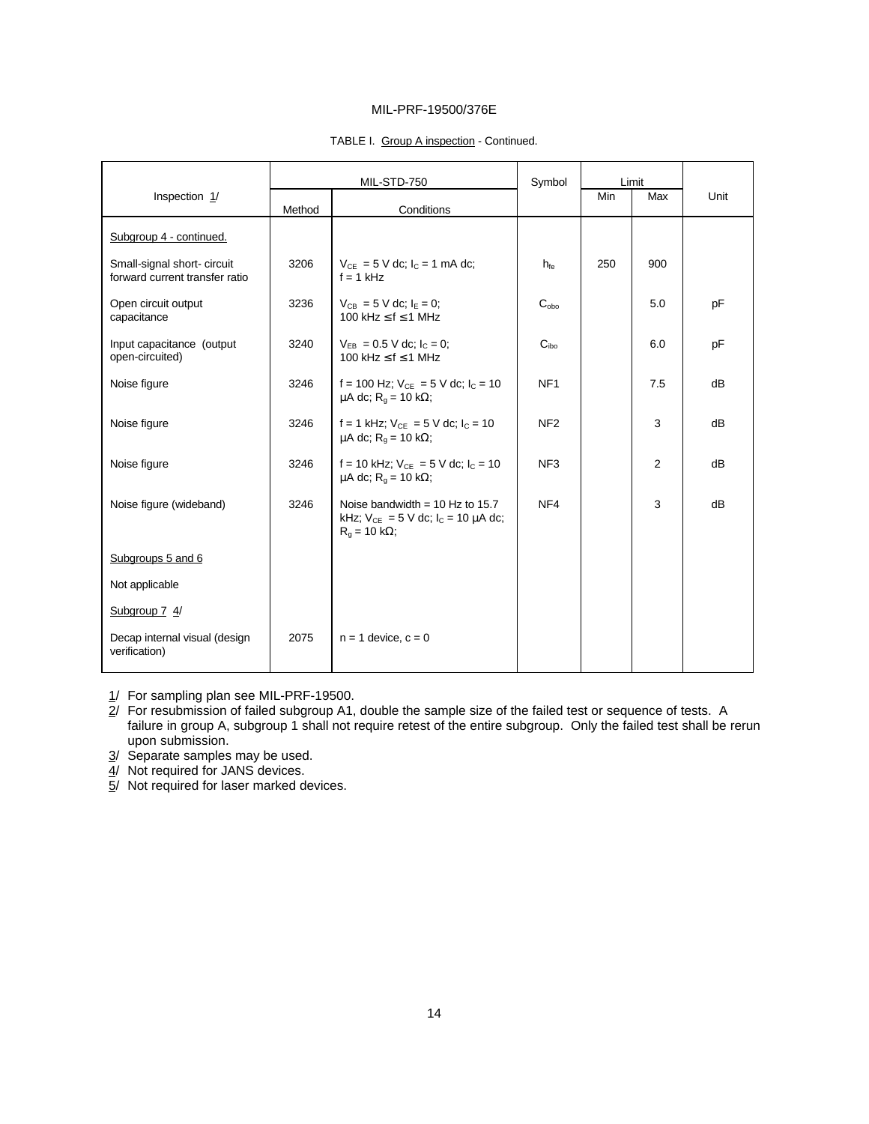### TABLE I. Group A inspection - Continued.

|                                                               | MIL-STD-750 |                                                                                                       | Symbol           | Limit |     |      |
|---------------------------------------------------------------|-------------|-------------------------------------------------------------------------------------------------------|------------------|-------|-----|------|
| Inspection 1/                                                 | Method      | Conditions                                                                                            |                  | Min   | Max | Unit |
| Subgroup 4 - continued.                                       |             |                                                                                                       |                  |       |     |      |
| Small-signal short- circuit<br>forward current transfer ratio | 3206        | $V_{CE} = 5$ V dc; $I_C = 1$ mA dc;<br>$f = 1$ kHz                                                    | $h_{\text{fe}}$  | 250   | 900 |      |
| Open circuit output<br>capacitance                            | 3236        | $V_{CB} = 5$ V dc; $I_F = 0$ ;<br>100 kHz $\leq$ f $\leq$ 1 MHz                                       | $C_{obo}$        |       | 5.0 | pF   |
| Input capacitance (output<br>open-circuited)                  | 3240        | $V_{FB} = 0.5$ V dc; $I_c = 0$ ;<br>100 kHz $\leq$ f $\leq$ 1 MHz                                     | C <sub>ibo</sub> |       | 6.0 | pF   |
| Noise figure                                                  | 3246        | f = 100 Hz; $V_{CE}$ = 5 V dc; $I_C$ = 10<br>$\mu$ A dc; R <sub>q</sub> = 10 kΩ;                      | NF <sub>1</sub>  |       | 7.5 | dB   |
| Noise figure                                                  | 3246        | f = 1 kHz; $V_{CE}$ = 5 V dc; $I_C$ = 10<br>$\mu$ A dc; R <sub>g</sub> = 10 kΩ;                       | NF <sub>2</sub>  |       | 3   | dB   |
| Noise figure                                                  | 3246        | f = 10 kHz; $V_{CE}$ = 5 V dc; $I_C$ = 10<br>$\mu$ A dc; R <sub>q</sub> = 10 kΩ;                      | NF <sub>3</sub>  |       | 2   | dB   |
| Noise figure (wideband)                                       | 3246        | Noise bandwidth = $10$ Hz to $15.7$<br>kHz; $V_{CE} = 5$ V dc; $I_C = 10 \mu A$ dc;<br>$R_g$ = 10 kΩ; | NF4              |       | 3   | dB   |
| Subgroups 5 and 6                                             |             |                                                                                                       |                  |       |     |      |
| Not applicable                                                |             |                                                                                                       |                  |       |     |      |
| Subgroup 7 4/                                                 |             |                                                                                                       |                  |       |     |      |
| Decap internal visual (design<br>verification)                | 2075        | $n = 1$ device, $c = 0$                                                                               |                  |       |     |      |

1/ For sampling plan see MIL-PRF-19500.

2/ For resubmission of failed subgroup A1, double the sample size of the failed test or sequence of tests. A failure in group A, subgroup 1 shall not require retest of the entire subgroup. Only the failed test shall be rerun upon submission.

3/ Separate samples may be used.

4/ Not required for JANS devices.

5/ Not required for laser marked devices.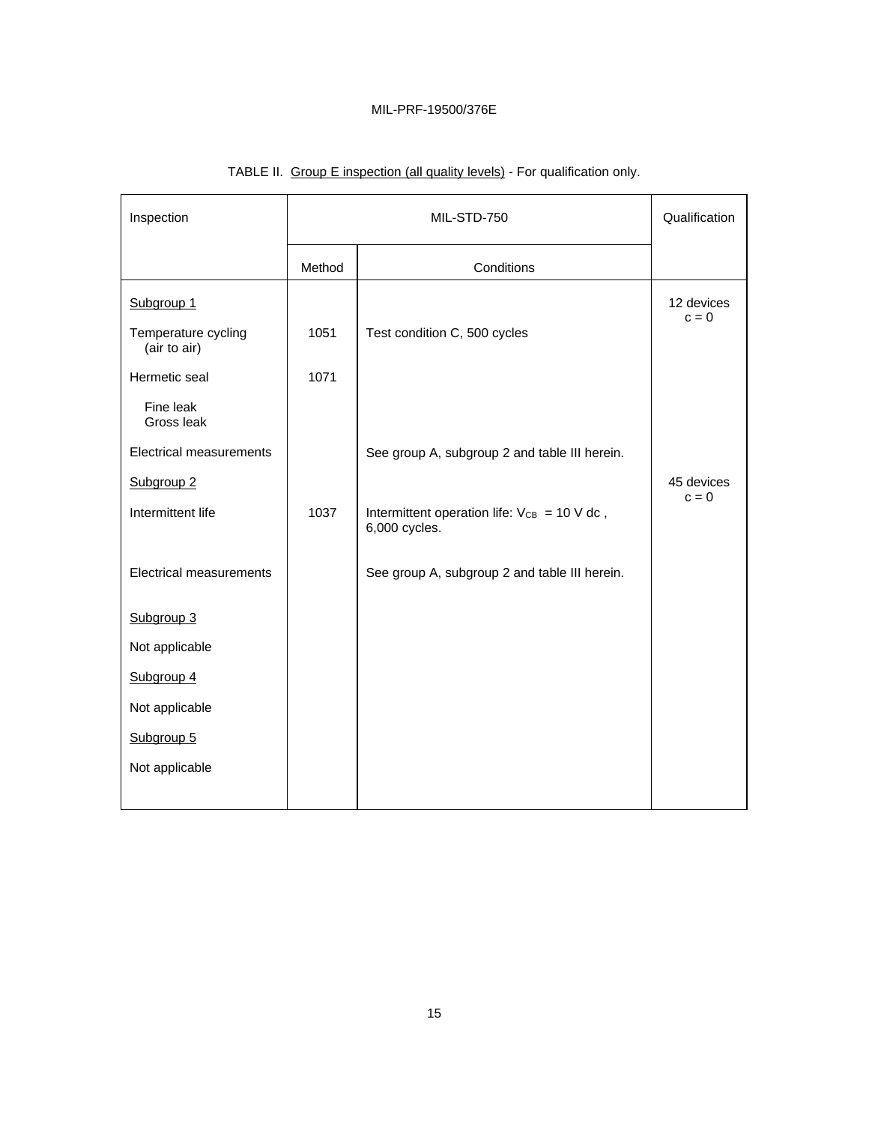| Inspection                          | MIL-STD-750 |                                                                   | Qualification         |
|-------------------------------------|-------------|-------------------------------------------------------------------|-----------------------|
|                                     | Method      | Conditions                                                        |                       |
| Subgroup <sub>1</sub>               |             |                                                                   | 12 devices<br>$c = 0$ |
| Temperature cycling<br>(air to air) | 1051        | Test condition C, 500 cycles                                      |                       |
| Hermetic seal                       | 1071        |                                                                   |                       |
| Fine leak<br>Gross leak             |             |                                                                   |                       |
| <b>Electrical measurements</b>      |             | See group A, subgroup 2 and table III herein.                     |                       |
| Subgroup <sub>2</sub>               |             |                                                                   | 45 devices<br>$c = 0$ |
| Intermittent life                   | 1037        | Intermittent operation life: $V_{CB} = 10$ V dc,<br>6,000 cycles. |                       |
| <b>Electrical measurements</b>      |             | See group A, subgroup 2 and table III herein.                     |                       |
| Subgroup 3                          |             |                                                                   |                       |
| Not applicable                      |             |                                                                   |                       |
| Subgroup 4                          |             |                                                                   |                       |
| Not applicable                      |             |                                                                   |                       |
| Subgroup 5                          |             |                                                                   |                       |
| Not applicable                      |             |                                                                   |                       |

# TABLE II. Group E inspection (all quality levels) - For qualification only.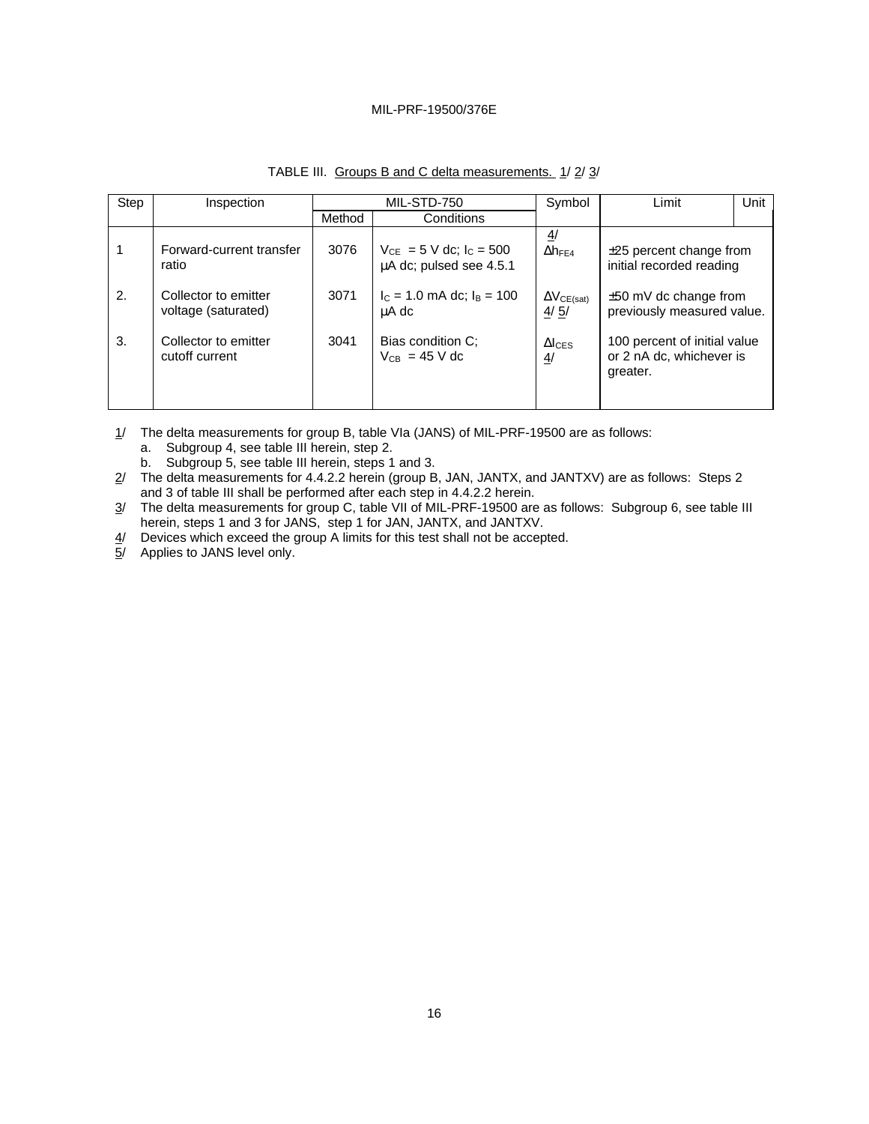| Step | Inspection                                  | MIL-STD-750 |                                                           | Symbol                                      | Limit                                                                | Unit |
|------|---------------------------------------------|-------------|-----------------------------------------------------------|---------------------------------------------|----------------------------------------------------------------------|------|
|      |                                             | Method      | Conditions                                                |                                             |                                                                      |      |
|      | Forward-current transfer<br>ratio           | 3076        | $V_{CE} = 5$ V dc; $I_C = 500$<br>µA dc; pulsed see 4.5.1 | $\overline{4}$<br>$\Delta h_{FE4}$          | $\pm 25$ percent change from<br>initial recorded reading             |      |
| 2.   | Collector to emitter<br>voltage (saturated) | 3071        | $I_c = 1.0$ mA dc; $I_B = 100$<br>uA dc                   | $\Delta V_{CE(sat)}$<br>4/5/                | $±50$ mV dc change from<br>previously measured value.                |      |
| 3.   | Collector to emitter<br>cutoff current      | 3041        | Bias condition C:<br>$V_{CB}$ = 45 V dc                   | $\Delta l$ <sub>CES</sub><br>$\overline{4}$ | 100 percent of initial value<br>or 2 nA dc, whichever is<br>greater. |      |

# TABLE III. Groups B and C delta measurements. 1/2/3/

1/ The delta measurements for group B, table VIa (JANS) of MIL-PRF-19500 are as follows:

- a. Subgroup 4, see table III herein, step 2.
- b. Subgroup 5, see table III herein, steps 1 and 3.
- 2/ The delta measurements for 4.4.2.2 herein (group B, JAN, JANTX, and JANTXV) are as follows: Steps 2 and 3 of table III shall be performed after each step in 4.4.2.2 herein.
- 3/ The delta measurements for group C, table VII of MIL-PRF-19500 are as follows: Subgroup 6, see table III herein, steps 1 and 3 for JANS, step 1 for JAN, JANTX, and JANTXV.
- 4/ Devices which exceed the group A limits for this test shall not be accepted.
- 5/ Applies to JANS level only.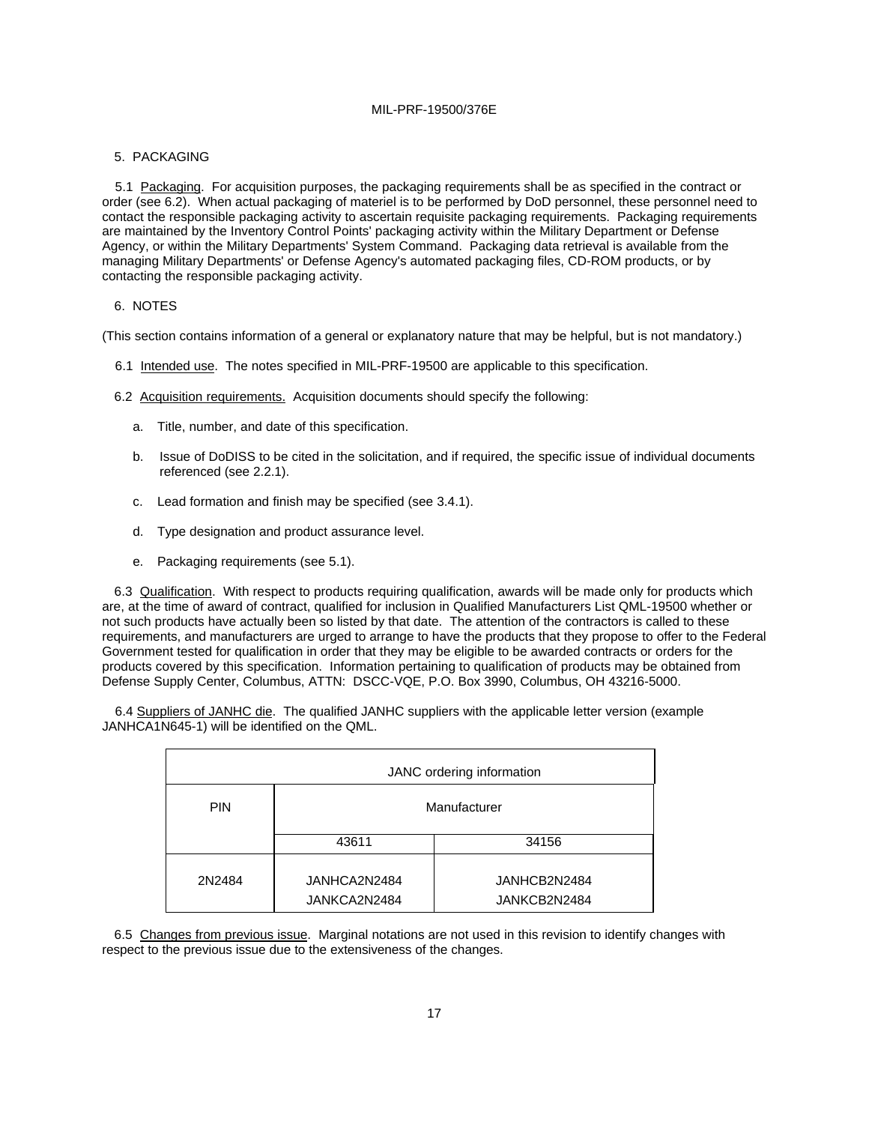#### 5. PACKAGING

5.1 Packaging. For acquisition purposes, the packaging requirements shall be as specified in the contract or order (see 6.2). When actual packaging of materiel is to be performed by DoD personnel, these personnel need to contact the responsible packaging activity to ascertain requisite packaging requirements. Packaging requirements are maintained by the Inventory Control Points' packaging activity within the Military Department or Defense Agency, or within the Military Departments' System Command. Packaging data retrieval is available from the managing Military Departments' or Defense Agency's automated packaging files, CD-ROM products, or by contacting the responsible packaging activity.

### 6. NOTES

(This section contains information of a general or explanatory nature that may be helpful, but is not mandatory.)

- 6.1 Intended use. The notes specified in MIL-PRF-19500 are applicable to this specification.
- 6.2 Acquisition requirements. Acquisition documents should specify the following:
	- a. Title, number, and date of this specification.
	- b. Issue of DoDISS to be cited in the solicitation, and if required, the specific issue of individual documents referenced (see 2.2.1).
	- c. Lead formation and finish may be specified (see 3.4.1).
	- d. Type designation and product assurance level.
	- e. Packaging requirements (see 5.1).

6.3 Qualification. With respect to products requiring qualification, awards will be made only for products which are, at the time of award of contract, qualified for inclusion in Qualified Manufacturers List QML-19500 whether or not such products have actually been so listed by that date. The attention of the contractors is called to these requirements, and manufacturers are urged to arrange to have the products that they propose to offer to the Federal Government tested for qualification in order that they may be eligible to be awarded contracts or orders for the products covered by this specification. Information pertaining to qualification of products may be obtained from Defense Supply Center, Columbus, ATTN: DSCC-VQE, P.O. Box 3990, Columbus, OH 43216-5000.

6.4 Suppliers of JANHC die. The qualified JANHC suppliers with the applicable letter version (example JANHCA1N645-1) will be identified on the QML.

| JANC ordering information |                              |                              |  |  |  |
|---------------------------|------------------------------|------------------------------|--|--|--|
| <b>PIN</b>                | Manufacturer                 |                              |  |  |  |
|                           | 43611                        | 34156                        |  |  |  |
| 2N2484                    | JANHCA2N2484<br>JANKCA2N2484 | JANHCB2N2484<br>JANKCB2N2484 |  |  |  |

6.5 Changes from previous issue. Marginal notations are not used in this revision to identify changes with respect to the previous issue due to the extensiveness of the changes.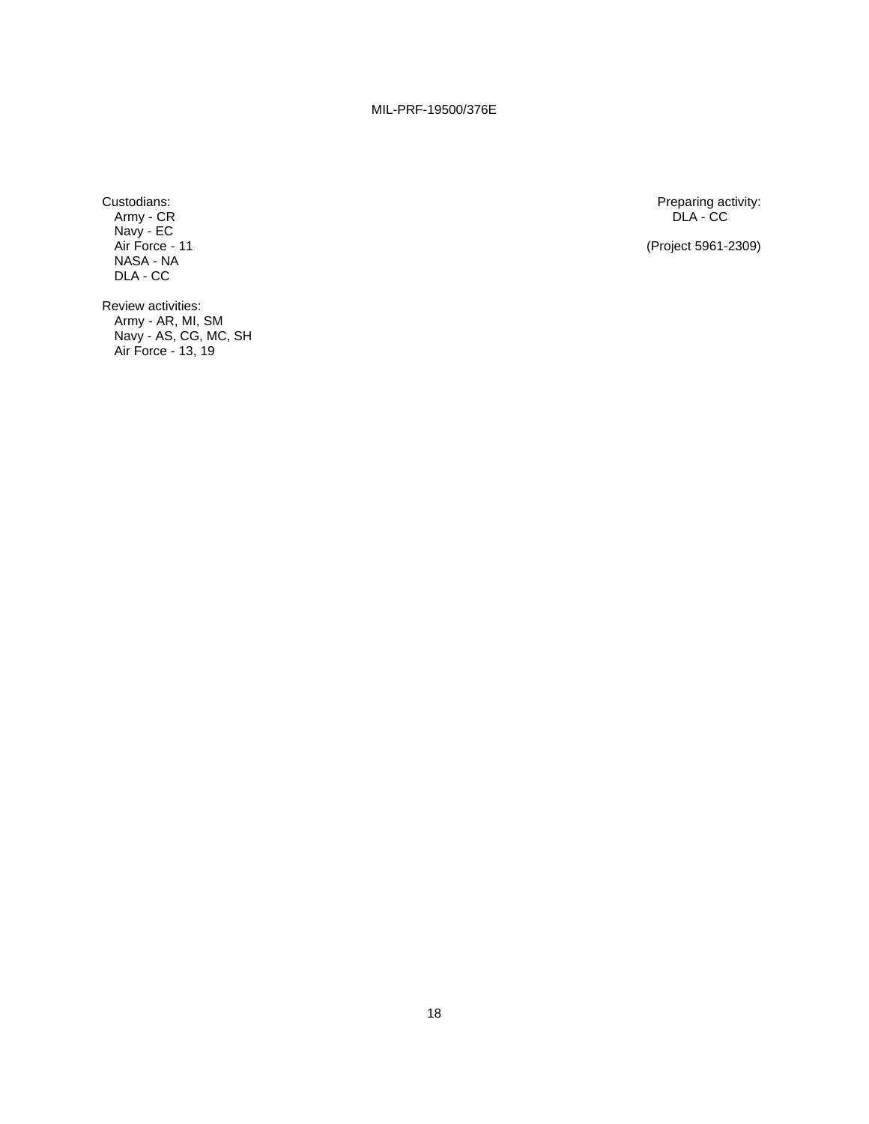Army - CR DLA - CC Navy - EC NASA - NA DLA - CC

Custodians: Preparing activity: Preparing activity: Preparing activity: Preparing activity: Preparing activity: Preparing activity: Preparing activity: Preparing activity: PLA - CC PLA - CC PLA - CC PLA - CC PLA - CC PLA -

(Project 5961-2309)

Review activities: Army - AR, MI, SM Navy - AS, CG, MC, SH Air Force - 13, 19